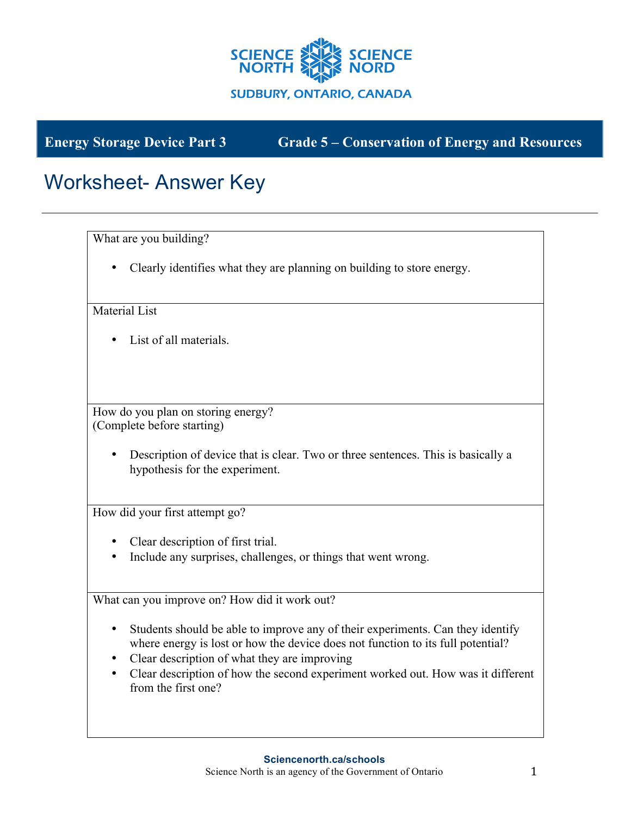

**Energy Storage Device Part 3 Grade 5 – Conservation of Energy and Resources**

## Worksheet- Answer Key

What are you building?

• Clearly identifies what they are planning on building to store energy.

Material List

• List of all materials.

How do you plan on storing energy? (Complete before starting)

> • Description of device that is clear. Two or three sentences. This is basically a hypothesis for the experiment.

How did your first attempt go?

- Clear description of first trial.
- Include any surprises, challenges, or things that went wrong.

What can you improve on? How did it work out?

- Students should be able to improve any of their experiments. Can they identify where energy is lost or how the device does not function to its full potential?
- Clear description of what they are improving
- Clear description of how the second experiment worked out. How was it different from the first one?